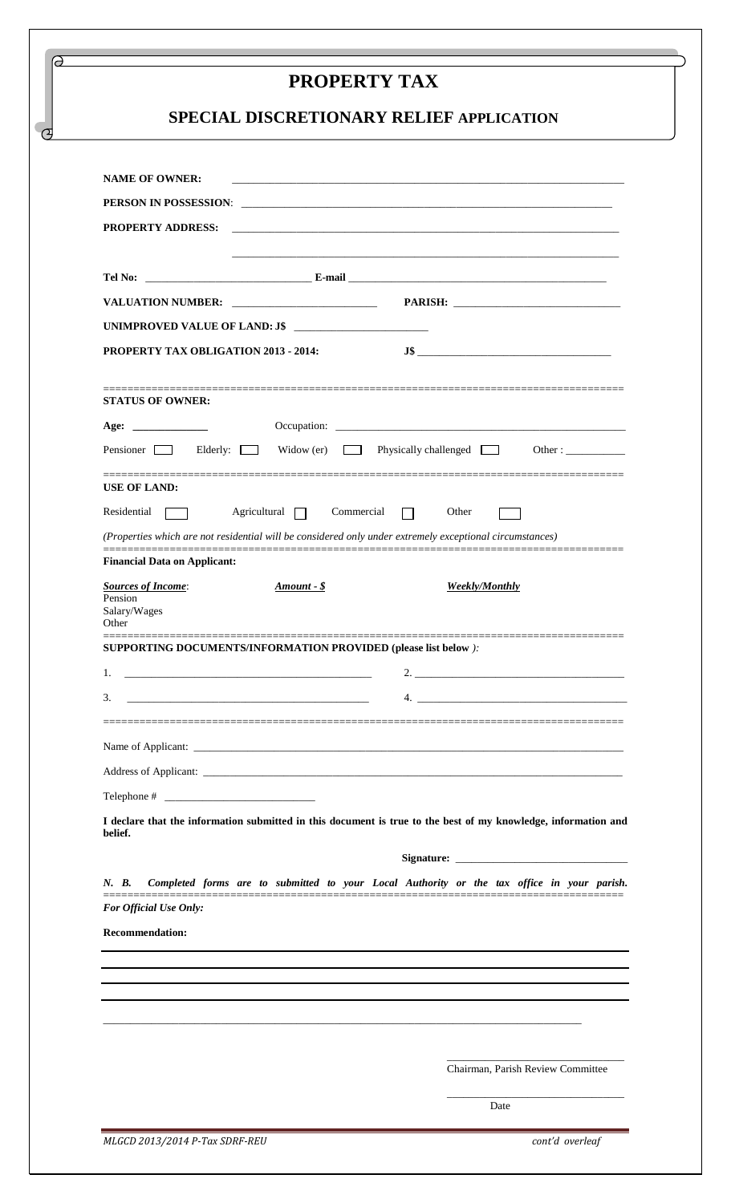## **PROPERTY TAX**

ദ

 $\sigma$ 

## **SPECIAL DISCRETIONARY RELIEF APPLICATION**

| <b>NAME OF OWNER:</b>                                                                                                                                                                                                              | and the control of the control of the control of the control of the control of the control of the control of the |
|------------------------------------------------------------------------------------------------------------------------------------------------------------------------------------------------------------------------------------|------------------------------------------------------------------------------------------------------------------|
| PERSON IN POSSESSION: <b>CONSERVERS DERIVAL PROPERTY IN PRESSURE AND PROPERTY IN PRESSURE AND PROPERTY IN PRESSURE AND PROPERTY IN PRESSURE AND PROPERTY IN PRESSURE AND THE UPPER PROPERTY IN PRESSURE AND THE UPPER PROPERTY</b> |                                                                                                                  |
| <b>PROPERTY ADDRESS:</b>                                                                                                                                                                                                           |                                                                                                                  |
|                                                                                                                                                                                                                                    |                                                                                                                  |
|                                                                                                                                                                                                                                    |                                                                                                                  |
|                                                                                                                                                                                                                                    |                                                                                                                  |
| UNIMPROVED VALUE OF LAND: J\$                                                                                                                                                                                                      |                                                                                                                  |
| PROPERTY TAX OBLIGATION 2013 - 2014:                                                                                                                                                                                               |                                                                                                                  |
|                                                                                                                                                                                                                                    |                                                                                                                  |
| <b>STATUS OF OWNER:</b>                                                                                                                                                                                                            |                                                                                                                  |
|                                                                                                                                                                                                                                    |                                                                                                                  |
| Pensioner Blderly:<br>$\sim 100$                                                                                                                                                                                                   | Widow (er) Physically challenged $\Box$<br>Other:                                                                |
| <b>USE OF LAND:</b>                                                                                                                                                                                                                |                                                                                                                  |
| Agricultural 7 Commercial<br>Residential                                                                                                                                                                                           | $\Box$ Other                                                                                                     |
| (Properties which are not residential will be considered only under extremely exceptional circumstances)                                                                                                                           |                                                                                                                  |
| <b>Financial Data on Applicant:</b>                                                                                                                                                                                                |                                                                                                                  |
| <b>Sources of Income:</b><br>$Amount - $$<br>Pension                                                                                                                                                                               | <b>Weekly/Monthly</b>                                                                                            |
| Salary/Wages<br>Other                                                                                                                                                                                                              |                                                                                                                  |
| SUPPORTING DOCUMENTS/INFORMATION PROVIDED (please list below):                                                                                                                                                                     |                                                                                                                  |
| 1.                                                                                                                                                                                                                                 |                                                                                                                  |
| s.                                                                                                                                                                                                                                 | 4.                                                                                                               |
|                                                                                                                                                                                                                                    |                                                                                                                  |
|                                                                                                                                                                                                                                    |                                                                                                                  |
|                                                                                                                                                                                                                                    |                                                                                                                  |
|                                                                                                                                                                                                                                    |                                                                                                                  |
| I declare that the information submitted in this document is true to the best of my knowledge, information and                                                                                                                     |                                                                                                                  |
| belief.                                                                                                                                                                                                                            |                                                                                                                  |
|                                                                                                                                                                                                                                    |                                                                                                                  |
| N. B.                                                                                                                                                                                                                              | Completed forms are to submitted to your Local Authority or the tax office in your parish.                       |
| For Official Use Only:                                                                                                                                                                                                             |                                                                                                                  |
| <b>Recommendation:</b>                                                                                                                                                                                                             |                                                                                                                  |
|                                                                                                                                                                                                                                    |                                                                                                                  |
|                                                                                                                                                                                                                                    |                                                                                                                  |
|                                                                                                                                                                                                                                    |                                                                                                                  |
|                                                                                                                                                                                                                                    |                                                                                                                  |
|                                                                                                                                                                                                                                    | Chairman, Parish Review Committee                                                                                |
|                                                                                                                                                                                                                                    |                                                                                                                  |
|                                                                                                                                                                                                                                    | Date                                                                                                             |

*MLGCD 2013/2014 P-Tax SDRF-REU cont'd overleaf*